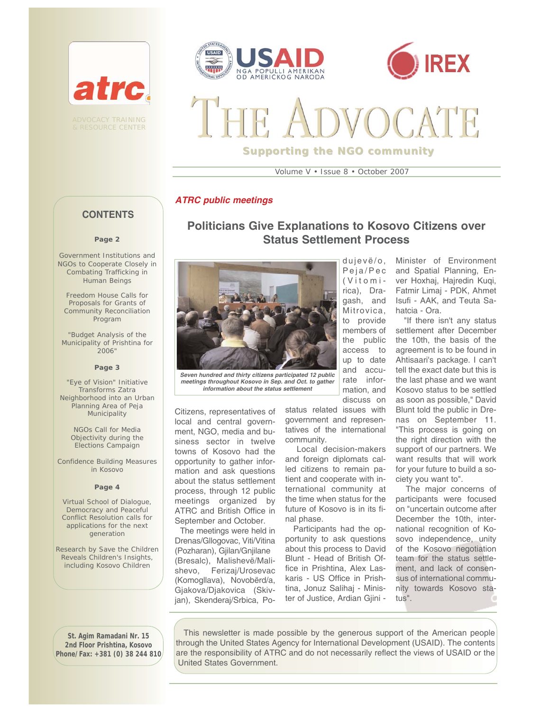

& RESOURCE CENTER





**Supporting the NGO community**

Volume V • Issue 8 • October 2007

**Politicians Give Explanations to Kosovo Citizens over Status Settlement Process** 

### *ATRC public meetings*

# **CONTENTS**

#### **Page 2**

Government Institutions and NGOs to Cooperate Closely in Combating Trafficking in Human Beings

Freedom House Calls for Proposals for Grants of Community Reconciliation Program

"Budget Analysis of the Municipality of Prishtina for 2006"

#### **Page 3**

"Eye of Vision" Initiative Transforms Zatra Neighborhood into an Urban Planning Area of Peja Municipality

> NGOs Call for Media Objectivity during the Elections Campaign

Confidence Building Measures in Kosovo

#### **Page 4**

Virtual School of Dialogue, Democracy and Peaceful Conflict Resolution calls for applications for the next generation

Research by Save the Children Reveals Children's Insights, including Kosovo Children



*Seven hundred and thirty citizens participated 12 public meetings throughout Kosovo in Sep. and Oct. to gather information about the status settlement* 

Citizens, representatives of local and central government, NGO, media and business sector in twelve towns of Kosovo had the opportunity to gather information and ask questions about the status settlement process, through 12 public meetings organized by ATRC and British Office in September and October.

The meetings were held in Drenas/Gllogovac, Viti/Vitina (Pozharan), Gjilan/Gnjilane (Bresalc), Malishevë/Malishevo, Ferizaj/Urosevac (Komogllava), Novobërd/a, Gjakova/Djakovica (Skivjan), Skenderaj/Srbica, Podujevë/o, Peja/Pec (Vitomirica), Dragash, and Mitrovica, to provide members of the public access to up to date and accurate information, and discuss on

status related issues with government and representatives of the international community.

Local decision-makers and foreign diplomats called citizens to remain patient and cooperate with international community at the time when status for the future of Kosovo is in its final phase.

Participants had the opportunity to ask questions about this process to David Blunt - Head of British Office in Prishtina, Alex Laskaris - US Office in Prishtina, Jonuz Salihaj - Minister of Justice, Ardian Gjini -

Minister of Environment and Spatial Planning, Enver Hoxhaj, Hajredin Kuqi, Fatmir Limaj - PDK, Ahmet Isufi - AAK, and Teuta Sahatcia - Ora.

"If there isn't any status settlement after December the 10th, the basis of the agreement is to be found in Ahtisaari's package. I can't tell the exact date but this is the last phase and we want Kosovo status to be settled as soon as possible," David Blunt told the public in Drenas on September 11. "This process is going on the right direction with the support of our partners. We want results that will work for your future to build a society you want to".

The major concerns of participants were focused on "uncertain outcome after December the 10th, international recognition of Kosovo independence, unity of the Kosovo negotiation team for the status settlement, and lack of consensus of international community towards Kosovo status".

**St. Agim Ramadani Nr. 15 2nd Floor Prishtina, Kosovo Phone/Fax: +381 (0) 38 244 810**

This newsletter is made possible by the generous support of the American people through the United States Agency for International Development (USAID). The contents are the responsibility of ATRC and do not necessarily reflect the views of USAID or the United States Government.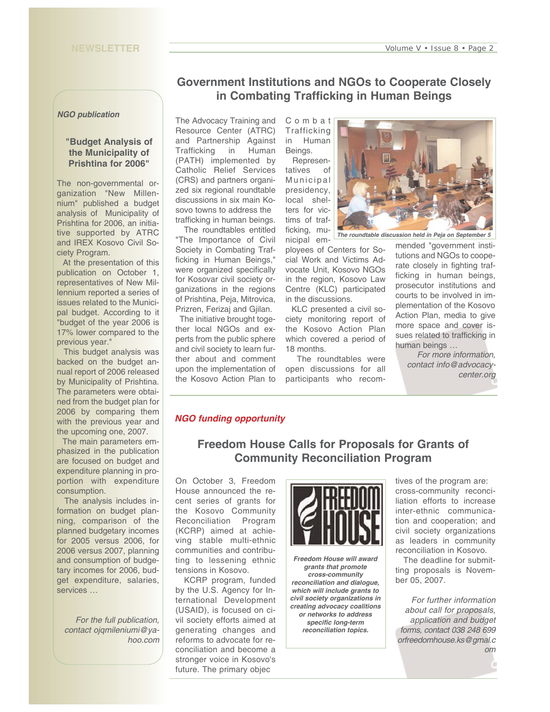#### *NGO publication*

### **"Budget Analysis of the Municipality of Prishtina for 2006"**

The non-governmental organization "New Millennium" published a budget analysis of Municipality of Prishtina for 2006, an initiative supported by ATRC and IREX Kosovo Civil Society Program.

At the presentation of this publication on October 1, representatives of New Millennium reported a series of issues related to the Municipal budget. According to it "budget of the year 2006 is 17% lower compared to the previous year."

This budget analysis was backed on the budget annual report of 2006 released by Municipality of Prishtina. The parameters were obtained from the budget plan for 2006 by comparing them with the previous year and the upcoming one, 2007.

The main parameters emphasized in the publication are focused on budget and expenditure planning in proportion with expenditure consumption.

The analysis includes information on budget planning, comparison of the planned budgetary incomes for 2005 versus 2006, for 2006 versus 2007, planning and consumption of budgetary incomes for 2006, budget expenditure, salaries, services …

*For the full publication, contact ojqmileniumi@yahoo.com*

# **Government Institutions and NGOs to Cooperate Closely in Combating Trafficking in Human Beings**

The Advocacy Training and Resource Center (ATRC) and Partnership Against Trafficking in Human (PATH) implemented by Catholic Relief Services (CRS) and partners organized six regional roundtable discussions in six main Kosovo towns to address the trafficking in human beings.

The roundtables entitled "The Importance of Civil Society in Combating Trafficking in Human Beings," were organized specifically for Kosovar civil society organizations in the regions of Prishtina, Peja, Mitrovica, Prizren, Ferizaj and Gjilan.

The initiative brought together local NGOs and experts from the public sphere and civil society to learn further about and comment upon the implementation of the Kosovo Action Plan to

Combat **Trafficking** in Human Beings. Represen-

tatives of Municipal presidency, local shelters for victims of trafficking, mu-

nicipal employees of Centers for Social Work and Victims Advocate Unit, Kosovo NGOs in the region, Kosovo Law Centre (KLC) participated in the discussions.

KLC presented a civil society monitoring report of the Kosovo Action Plan which covered a period of 18 months.

The roundtables were open discussions for all participants who recom-

*The roundtable discussion held in Peja on September 5* 

mended "government institutions and NGOs to cooperate closely in fighting trafficking in human beings, prosecutor institutions and courts to be involved in implementation of the Kosovo Action Plan, media to give more space and cover issues related to trafficking in human beings …

> *For more information, contact info@advocacycenter.org*

## *NGO funding opportunity*

# **Freedom House Calls for Proposals for Grants of Community Reconciliation Program**

On October 3, Freedom House announced the recent series of grants for the Kosovo Community Reconciliation Program (KCRP) aimed at achieving stable multi-ethnic communities and contributing to lessening ethnic tensions in Kosovo.

KCRP program, funded by the U.S. Agency for International Development (USAID), is focused on civil society efforts aimed at generating changes and reforms to advocate for reconciliation and become a stronger voice in Kosovo's future. The primary objec



*Freedom House will award grants that promote cross-community reconciliation and dialogue, which will include grants to civil society organizations in creating advocacy coalitions or networks to address specific long-term reconciliation topics.*

tives of the program are: cross-community reconciliation efforts to increase inter-ethnic communication and cooperation; and civil society organizations as leaders in community reconciliation in Kosovo.

The deadline for submitting proposals is November 05, 2007.

*For further information about call for proposals, application and budget forms, contact 038 248 699 orfreedomhouse.ks@gmal.c om*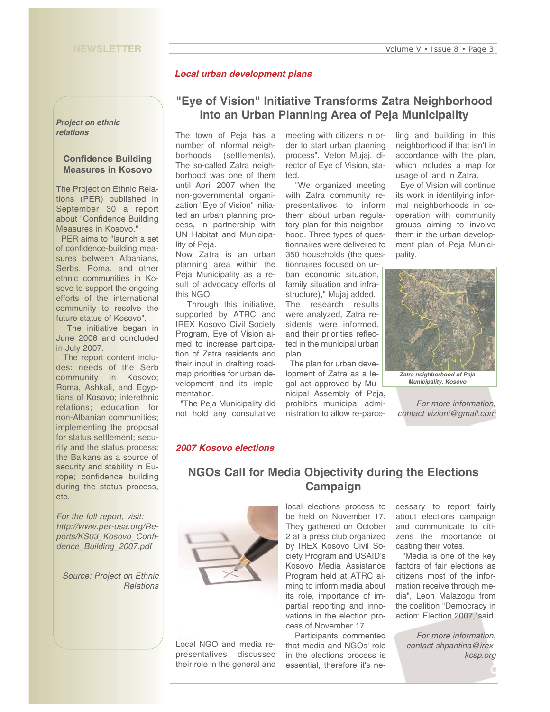### *Local urban development plans*

#### *Project on ethnic relations*

### **Confidence Building Measures in Kosovo**

The Project on Ethnic Relations (PER) published in September 30 a report about "Confidence Building Measures in Kosovo."

PER aims to "launch a set of confidence-building measures between Albanians, Serbs, Roma, and other ethnic communities in Kosovo to support the ongoing efforts of the international community to resolve the future status of Kosovo".

The initiative began in June 2006 and concluded in July 2007.

The report content includes: needs of the Serb community in Kosovo; Roma, Ashkali, and Egyptians of Kosovo; interethnic relations; education for non-Albanian communities; implementing the proposal for status settlement; security and the status process; the Balkans as a source of security and stability in Europe; confidence building during the status process, etc.

*For the full report, visit: http://www.per-usa.org/Reports/KS03\_Kosovo\_Confidence\_Building\_2007.pdf*

*Source: Project on Ethnic Relations* 

# **"Eye of Vision" Initiative Transforms Zatra Neighborhood into an Urban Planning Area of Peja Municipality**

The town of Peja has a number of informal neighborhoods (settlements). The so-called Zatra neighborhood was one of them until April 2007 when the non-governmental organization "Eye of Vision" initiated an urban planning process, in partnership with UN Habitat and Municipality of Peja.

Now Zatra is an urban planning area within the Peja Municipality as a result of advocacy efforts of this NGO.

Through this initiative, supported by ATRC and IREX Kosovo Civil Society Program, Eye of Vision aimed to increase participation of Zatra residents and their input in drafting roadmap priorities for urban development and its implementation.

"The Peja Municipality did not hold any consultative

meeting with citizens in order to start urban planning process", Veton Mujaj, director of Eye of Vision, stated.

"We organized meeting with Zatra community representatives to inform them about urban regulatory plan for this neighborhood. Three types of questionnaires were delivered to 350 households (the ques-

tionnaires focused on urban economic situation, family situation and infrastructure)," Mujaj added. The research results were analyzed, Zatra residents were informed, and their priorities reflected in the municipal urban plan.

The plan for urban development of Zatra as a legal act approved by Municipal Assembly of Peja, prohibits municipal administration to allow re-parceling and building in this neighborhood if that isn't in accordance with the plan, which includes a map for usage of land in Zatra.

Eye of Vision will continue its work in identifying informal neighborhoods in cooperation with community groups aiming to involve them in the urban development plan of Peja Municipality.



*For more information, contact vizioni@gmail.com* 

### *2007 Kosovo elections*

# **NGOs Call for Media Objectivity during the Elections Campaign**



Local NGO and media representatives discussed their role in the general and local elections process to be held on November 17. They gathered on October 2 at a press club organized by IREX Kosovo Civil Society Program and USAID's Kosovo Media Assistance Program held at ATRC aiming to inform media about its role, importance of impartial reporting and innovations in the election process of November 17.

Participants commented that media and NGOs' role in the elections process is essential, therefore it's necessary to report fairly about elections campaign and communicate to citizens the importance of casting their votes.

"Media is one of the key factors of fair elections as citizens most of the information receive through media", Leon Malazogu from the coalition "Democracy in action: Election 2007,"said.

> *For more information, contact shpantina@irexkcsp.org*